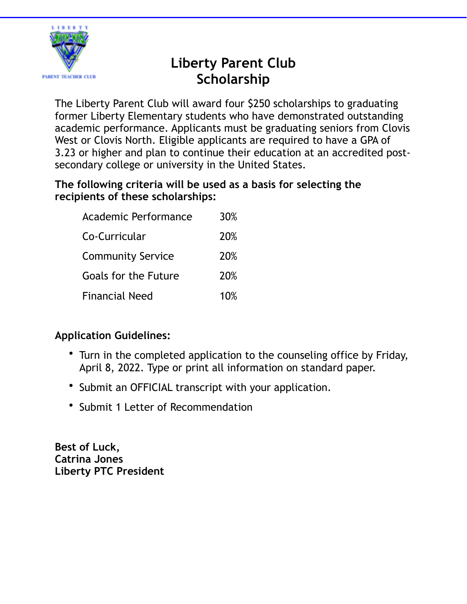

# **Liberty Parent Club Scholarship**

The Liberty Parent Club will award four \$250 scholarships to graduating former Liberty Elementary students who have demonstrated outstanding academic performance. Applicants must be graduating seniors from Clovis West or Clovis North. Eligible applicants are required to have a GPA of 3.23 or higher and plan to continue their education at an accredited postsecondary college or university in the United States.

### **The following criteria will be used as a basis for selecting the recipients of these scholarships:**

| Academic Performance     | 30%        |
|--------------------------|------------|
| Co-Curricular            | 20%        |
| <b>Community Service</b> | <b>20%</b> |
| Goals for the Future     | 20%        |
| <b>Financial Need</b>    | 10%        |

# **Application Guidelines:**

- Turn in the completed application to the counseling office by Friday, April 8, 2022. Type or print all information on standard paper.
- Submit an OFFICIAL transcript with your application.
- Submit 1 Letter of Recommendation

**Best of Luck, Catrina Jones Liberty PTC President**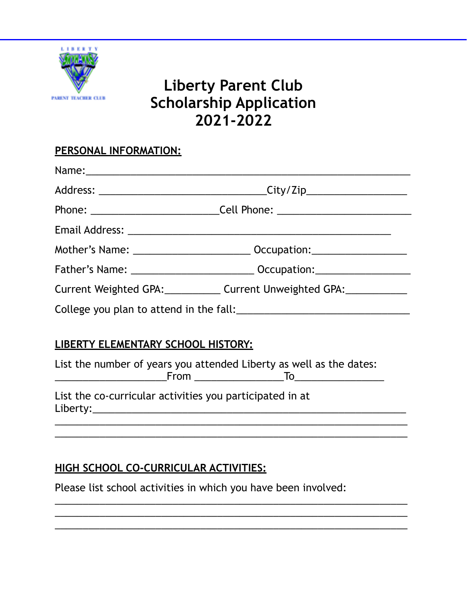

# **Liberty Parent Club Scholarship Application 2021-2022**

## **PERSONAL INFORMATION:**

|                                                                                                                                                                                                                                     | Phone: _______________________________Cell Phone: ______________________________ |  |
|-------------------------------------------------------------------------------------------------------------------------------------------------------------------------------------------------------------------------------------|----------------------------------------------------------------------------------|--|
|                                                                                                                                                                                                                                     |                                                                                  |  |
|                                                                                                                                                                                                                                     |                                                                                  |  |
|                                                                                                                                                                                                                                     | Father's Name: __________________________________ Occupation: __________________ |  |
|                                                                                                                                                                                                                                     | Current Weighted GPA:______________ Current Unweighted GPA:______________        |  |
|                                                                                                                                                                                                                                     |                                                                                  |  |
|                                                                                                                                                                                                                                     |                                                                                  |  |
| LIBERTY ELEMENTARY SCHOOL HISTORY:                                                                                                                                                                                                  |                                                                                  |  |
| The final contracts and $\epsilon$ construction of the state of the final field of the state of the state of the field of the state of the state of the state of the state of the state of the state of the state of the state of t |                                                                                  |  |

List the number of years you attended Liberty as well as the dates: \_\_\_\_\_\_\_\_\_\_\_\_\_\_\_\_\_\_\_\_From \_\_\_\_\_\_\_\_\_\_\_\_\_\_\_\_To\_\_\_\_\_\_\_\_\_\_\_\_\_\_\_\_

\_\_\_\_\_\_\_\_\_\_\_\_\_\_\_\_\_\_\_\_\_\_\_\_\_\_\_\_\_\_\_\_\_\_\_\_\_\_\_\_\_\_\_\_\_\_\_\_\_\_\_\_\_\_\_\_\_\_\_\_\_\_\_ \_\_\_\_\_\_\_\_\_\_\_\_\_\_\_\_\_\_\_\_\_\_\_\_\_\_\_\_\_\_\_\_\_\_\_\_\_\_\_\_\_\_\_\_\_\_\_\_\_\_\_\_\_\_\_\_\_\_\_\_\_\_\_

\_\_\_\_\_\_\_\_\_\_\_\_\_\_\_\_\_\_\_\_\_\_\_\_\_\_\_\_\_\_\_\_\_\_\_\_\_\_\_\_\_\_\_\_\_\_\_\_\_\_\_\_\_\_\_\_\_\_\_\_\_\_\_ \_\_\_\_\_\_\_\_\_\_\_\_\_\_\_\_\_\_\_\_\_\_\_\_\_\_\_\_\_\_\_\_\_\_\_\_\_\_\_\_\_\_\_\_\_\_\_\_\_\_\_\_\_\_\_\_\_\_\_\_\_\_\_ \_\_\_\_\_\_\_\_\_\_\_\_\_\_\_\_\_\_\_\_\_\_\_\_\_\_\_\_\_\_\_\_\_\_\_\_\_\_\_\_\_\_\_\_\_\_\_\_\_\_\_\_\_\_\_\_\_\_\_\_\_\_\_

List the co-curricular activities you participated in at Liberty:\_\_\_\_\_\_\_\_\_\_\_\_\_\_\_\_\_\_\_\_\_\_\_\_\_\_\_\_\_\_\_\_\_\_\_\_\_\_\_\_\_\_\_\_\_\_\_\_\_\_\_\_\_\_\_\_

# **HIGH SCHOOL CO-CURRICULAR ACTIVITIES:**

Please list school activities in which you have been involved: